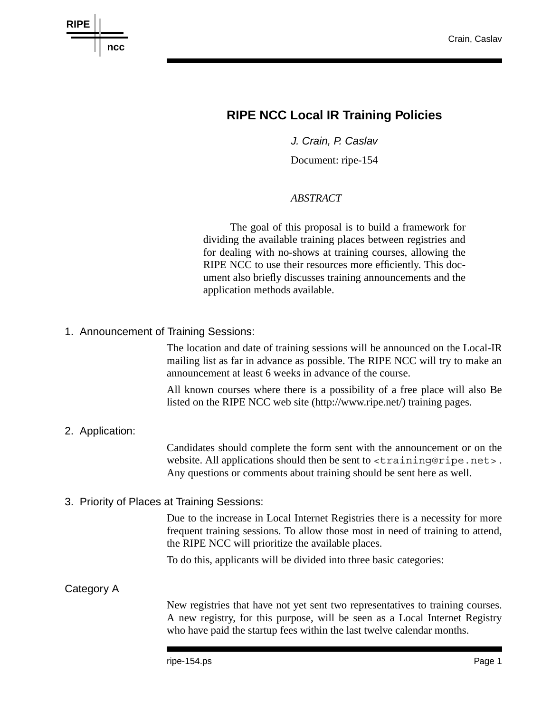

## **RIPE NCC Local IR Training Policies**

*J. Crain, P. Caslav*

Document: ripe-154

## *ABSTRACT*

The goal of this proposal is to build a framework for dividing the available training places between registries and for dealing with no-shows at training courses, allowing the RIPE NCC to use their resources more efficiently. This document also briefly discusses training announcements and the application methods available.

1. Announcement of Training Sessions:

The location and date of training sessions will be announced on the Local-IR mailing list as far in advance as possible. The RIPE NCC will try to make an announcement at least 6 weeks in advance of the course.

All known courses where there is a possibility of a free place will also Be listed on the RIPE NCC web site (http://www.ripe.net/) training pages.

## 2. Application:

Candidates should complete the form sent with the announcement or on the website. All applications should then be sent to <training@ripe.net>. Any questions or comments about training should be sent here as well.

3. Priority of Places at Training Sessions:

Due to the increase in Local Internet Registries there is a necessity for more frequent training sessions. To allow those most in need of training to attend, the RIPE NCC will prioritize the available places.

To do this, applicants will be divided into three basic categories:

## Category A

New registries that have not yet sent two representatives to training courses. A new registry, for this purpose, will be seen as a Local Internet Registry who have paid the startup fees within the last twelve calendar months.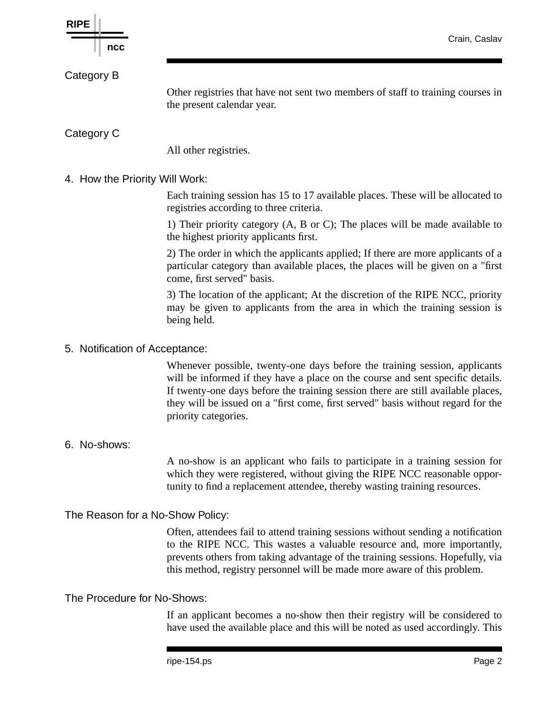

If an applicant becomes a no-show then their registry will be considered to have used the available place and this will be noted as used accordingly. This